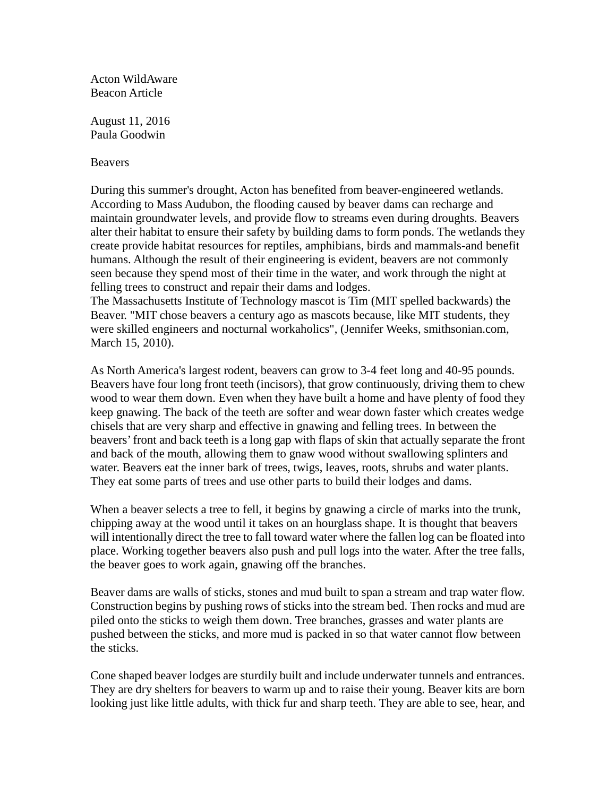Acton WildAware Beacon Article

August 11, 2016 Paula Goodwin

**Beavers** 

During this summer's drought, Acton has benefited from beaver-engineered wetlands. According to Mass Audubon, the flooding caused by beaver dams can recharge and maintain groundwater levels, and provide flow to streams even during droughts. Beavers alter their habitat to ensure their safety by building dams to form ponds. The wetlands they create provide habitat resources for reptiles, amphibians, birds and mammals-and benefit humans. Although the result of their engineering is evident, beavers are not commonly seen because they spend most of their time in the water, and work through the night at felling trees to construct and repair their dams and lodges.

The Massachusetts Institute of Technology mascot is Tim (MIT spelled backwards) the Beaver. "MIT chose beavers a century ago as mascots because, like MIT students, they were skilled engineers and nocturnal workaholics", (Jennifer Weeks, smithsonian.com, March 15, 2010).

As North America's largest rodent, beavers can grow to 3-4 feet long and 40-95 pounds. Beavers have four long front teeth (incisors), that grow continuously, driving them to chew wood to wear them down. Even when they have built a home and have plenty of food they keep gnawing. The back of the teeth are softer and wear down faster which creates wedge chisels that are very sharp and effective in gnawing and felling trees. In between the beavers'front and back teeth is a long gap with flaps of skin that actually separate the front and back of the mouth, allowing them to gnaw wood without swallowing splinters and water. Beavers eat the inner bark of trees, twigs, leaves, roots, shrubs and water plants. They eat some parts of trees and use other parts to build their lodges and dams.

When a beaver selects a tree to fell, it begins by gnawing a circle of marks into the trunk, chipping away at the wood until it takes on an hourglass shape. It is thought that beavers will intentionally direct the tree to fall toward water where the fallen log can be floated into place. Working together beavers also push and pull logs into the water. After the tree falls, the beaver goes to work again, gnawing off the branches.

Beaver dams are walls of sticks, stones and mud built to span a stream and trap water flow. Construction begins by pushing rows of sticks into the stream bed. Then rocks and mud are piled onto the sticks to weigh them down. Tree branches, grasses and water plants are pushed between the sticks, and more mud is packed in so that water cannot flow between the sticks.

Cone shaped beaver lodges are sturdily built and include underwater tunnels and entrances. They are dry shelters for beavers to warm up and to raise their young. Beaver kits are born looking just like little adults, with thick fur and sharp teeth. They are able to see, hear, and